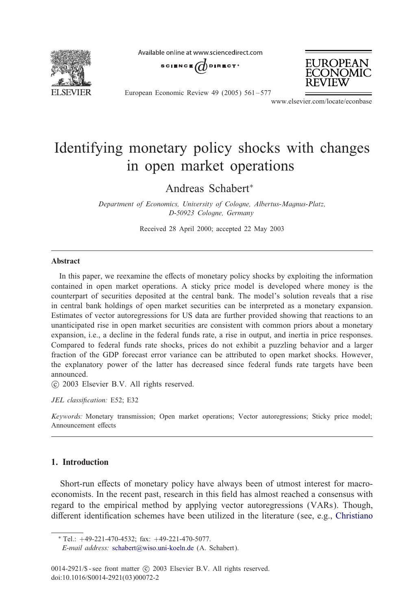

Available online at www.sciencedirect.com





European Economic Review 49 (2005) 561 – 577

www.elsevier.com/locate/econbase

## Identifying monetary policy shocks with changes in open market operations

Andreas Schabert<sup>∗</sup>

*Department of Economics, University of Cologne, Albertus-Magnus-Platz, D-50923 Cologne, Germany*

Received 28 April 2000; accepted 22 May 2003

### Abstract

In this paper, we reexamine the effects of monetary policy shocks by exploiting the information contained in open market operations. A sticky price model is developed where money is the counterpart of securities deposited at the central bank. The model's solution reveals that a rise in central bank holdings of open market securities can be interpreted as a monetary expansion. Estimates of vector autoregressions for US data are further provided showing that reactions to an unanticipated rise in open market securities are consistent with common priors about a monetary expansion, i.e., a decline in the federal funds rate, a rise in output, and inertia in price responses. Compared to federal funds rate shocks, prices do not exhibit a puzzling behavior and a larger fraction of the GDP forecast error variance can be attributed to open market shocks. However, the explanatory power of the latter has decreased since federal funds rate targets have been announced.

-c 2003 Elsevier B.V. All rights reserved.

JEL classification: E52; E32

*Keywords:* Monetary transmission; Open market operations; Vector autoregressions; Sticky price model; Announcement effects

### 1. Introduction

Short-run effects of monetary policy have always been of utmost interest for macroeconomists. In t[he recent past, research](mailto:schabert@wiso.uni-koeln.de) in this field has almost reached a consensus with regard to the empirical method by applying vector autoregressions (VARs). Though, different identification schemes have been utilized in the literature (see, e.g., Christiano

<sup>∗</sup> Tel.: +49-221-470-4532; fax: +49-221-470-5077.

*E-mail address:* schabert@wiso.uni-koeln.de (A. Schabert).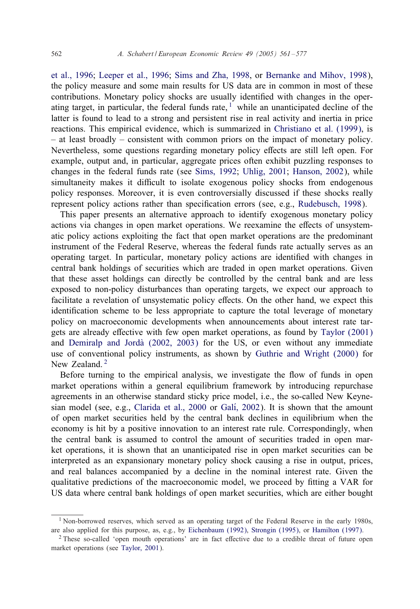#### 562 *A. Schabert / European Economic Review 49 (2005) 561 – 577*

et al., 1996; Leeper et al., 1996; Sims and Zha, 1998, or B[ernanke and Mihov, 199](#page--1-0)8), the policy measure and some main results for US data are in common in most of these contributions. Monetary policy shocks are usually identified with changes in the operating target, in particular, the federal funds rate,  $\frac{1}{1}$  while an unanticipated decline of the latter is found to lead to a strong and [persistent rise in real activity and inertia](#page--1-0) in price reactions. This empirical evidence, which is summarized in Christiano et al. (1999), is – at least broadly – consistent with common priors on the impact of monetary policy. Nevertheless, some questions regarding monetary policy effects a[re still left open. F](#page--1-0)or example, output and, in particular, aggregate prices often exhibit puzzling responses to changes in the federal funds rate (see Sims, 1992; Uhlig, 2001; Hanson, 2002), while simultaneity makes it difficult to isolate exogenous policy shocks from endogenous policy responses. Moreover, it is even controversially discussed if these shocks really represent policy actions rather than specification errors (see, e.g., Rudebusch, 1998).

This paper presents an alternative approach to identify exogenous monetary policy actions via changes in open market operations. We reexamine the effects of unsystematic policy actions exploiting the fact that open market operations are the predominant instrument of the Federal Reserve, whereas the federal funds rate actually serves as an operating target. In particular, monetary policy actions are identified with changes in central bank holdings of securities which are traded in open market operations. Given that these asset holdings can directly be controlled by the central ban[k and are less](#page--1-0) exp[osed to non-policy disturbances than](#page--1-0) operating targets, we expect our approach to facilitate a revelation of unsystematic policy effects. O[n the other hand, we expect](#page--1-0) this identification scheme to be less appropriate to capture the total leverage of monetary policy on macroeconomic developments when announcements about interest rate targets are already effective with few open market operations, as found by Taylor (2001) and Demiralp and Jordà  $(2002, 2003)$  for the US, or even without any immediate use of conventional p[olicy instruments, a](#page--1-0)s s[hown by](#page--1-0) Guthrie and Wright (2000) for New Zealand.<sup>2</sup>

Before turning to the empirical analysis, we investigate the flow of funds in open market operations within a general equilibrium framework by introducing repurchase agreements in an otherwise standard sticky price model, i.e., the so-called New Keynesian model (see, e.g., Clarida et al., 2000 or Gali, 2002). It is shown that the amount of open market securities held by the central bank declines in equilibrium when the economy is hit by a positive innovation to an interest rate rule. Correspondingly, when the central bank is assumed to control the amount of securities traded in open market operations, it is shown that an unanticipated rise in open market securities can be interpreted as an expansionary monetary policy shock causing a rise in output, prices, and real balances accompanied by [a decline in the nominal inter](#page--1-0)es[t rate. Given t](#page--1-0)he qualitative predictions of the macroeconomic model, we proceed by fitting a VAR for US data where ce[ntral bank h](#page--1-0)oldings of open market securities, which are either bought

<sup>&</sup>lt;sup>1</sup> Non-borrowed reserves, which served as an operating target of the Federal Reserve in the early 1980s, are also applied for this purpose, as, e.g., by Eichenbaum (1992), Strongin (1995), or Hamilton (1997).

 $2$  These so-called 'open mouth operations' are in fact effective due to a credible threat of future open market operations (see Taylor, 2001).